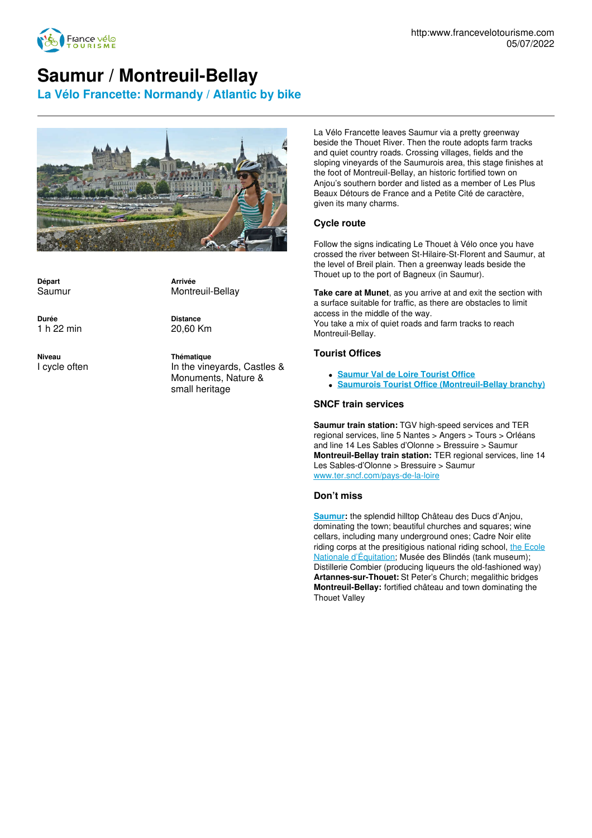

# **Saumur / Montreuil-Bellay**

**La Vélo Francette: Normandy / Atlantic by bike**



**Départ** Saumur

**Durée** 1 h 22 min

**Niveau**

I cycle often

**Arrivée** Montreuil-Bellay

**Distance** 20,60 Km

**Thématique** In the vineyards, Castles & Monuments, Nature & small heritage

La Vélo Francette leaves Saumur via a pretty greenway beside the Thouet River. Then the route adopts farm tracks and quiet country roads. Crossing villages, fields and the sloping vineyards of the Saumurois area, this stage finishes at the foot of Montreuil-Bellay, an historic fortified town on Anjou's southern border and listed as a member of Les Plus Beaux Détours de France and a Petite Cité de caractère, given its many charms.

## **Cycle route**

Follow the signs indicating Le Thouet à Vélo once you have crossed the river between St-Hilaire-St-Florent and Saumur, at the level of Breil plain. Then a greenway leads beside the Thouet up to the port of Bagneux (in Saumur).

**Take care at Munet**, as you arrive at and exit the section with a surface suitable for traffic, as there are obstacles to limit access in the middle of the way. You take a mix of quiet roads and farm tracks to reach Montreuil-Bellay.

## **Tourist Offices**

- **[Saumur](http://www.ot-saumur.fr/) Val de Loire Tourist Office**
- **Saumurois Tourist Office [\(Montreuil-Bellay](http://www.ot-saumur.fr/) branchy)**

### **SNCF train services**

**Saumur train station:** TGV high-speed services and TER regional services, line 5 Nantes > Angers > Tours > Orléans and line 14 Les Sables d'Olonne > Bressuire > Saumur **Montreuil-Bellay train station:** TER regional services, line 14 Les Sables-d'Olonne > Bressuire > Saumur [www.ter.sncf.com/pays-de-la-loire](http://www.ter.sncf.com/pays-de-la-loire)

### **Don't miss**

**[Saumur](http://www.ot-saumur.fr/):** the splendid hilltop Château des Ducs d'Anjou, dominating the town; beautiful churches and squares; wine cellars, including many underground ones; Cadre Noir elite riding corps at the [presitigious](http://www.cadrenoir.fr/) national riding school, the Ecole Nationale d'Équitation; Musée des Blindés (tank museum); Distillerie Combier (producing liqueurs the old-fashioned way) **Artannes-sur-Thouet:** St Peter's Church; megalithic bridges **Montreuil-Bellay:** fortified château and town dominating the Thouet Valley